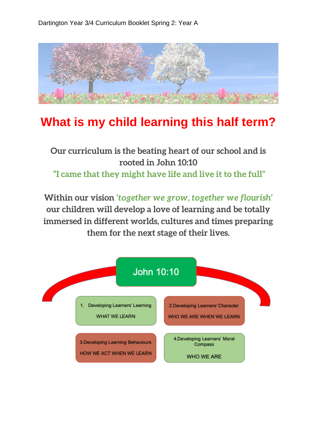

## **What is my child learning this half term?**

## **Our curriculum is the beating heart of our school and is rooted in John 10:10 "I came that they might have life and live it to the full"**

**Within our vision** *'together we grow, together we flourish'*  **our children will develop a love of learning and be totally immersed in different worlds, cultures and times preparing them for the next stage of their lives.**

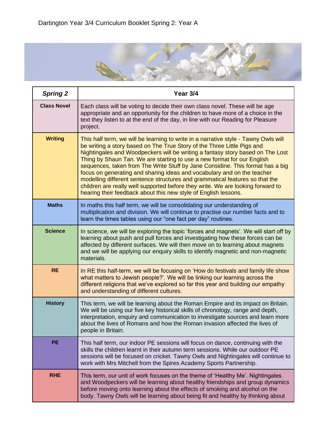

| <b>Spring 2</b>    | Year 3/4                                                                                                                                                                                                                                                                                                                                                                                                                                                                                                                                                                                                                                                                                                                       |
|--------------------|--------------------------------------------------------------------------------------------------------------------------------------------------------------------------------------------------------------------------------------------------------------------------------------------------------------------------------------------------------------------------------------------------------------------------------------------------------------------------------------------------------------------------------------------------------------------------------------------------------------------------------------------------------------------------------------------------------------------------------|
| <b>Class Novel</b> | Each class will be voting to decide their own class novel. These will be age<br>appropriate and an opportunity for the children to have more of a choice in the<br>text they listen to at the end of the day, in line with our Reading for Pleasure<br>project.                                                                                                                                                                                                                                                                                                                                                                                                                                                                |
| <b>Writing</b>     | This half term, we will be learning to write in a narrative style - Tawny Owls will<br>be writing a story based on The True Story of the Three Little Pigs and<br>Nightingales and Woodpeckers will be writing a fantasy story based on The Lost<br>Thing by Shaun Tan. We are starting to use a new format for our English<br>sequences, taken from The Write Stuff by Jane Considine. This format has a big<br>focus on generating and sharing ideas and vocabulary and on the teacher<br>modelling different sentence structures and grammatical features so that the<br>children are really well supported before they write. We are looking forward to<br>hearing their feedback about this new style of English lessons. |
| <b>Maths</b>       | In maths this half term, we will be consolidating our understanding of<br>multiplication and division. We will continue to practise our number facts and to<br>learn the times tables using our "one fact per day" routines.                                                                                                                                                                                                                                                                                                                                                                                                                                                                                                   |
| <b>Science</b>     | In science, we will be exploring the topic 'forces and magnets'. We will start off by<br>learning about push and pull forces and investigating how these forces can be<br>affected by different surfaces. We will then move on to learning about magnets<br>and we will be applying our enquiry skills to identify magnetic and non-magnetic<br>materials.                                                                                                                                                                                                                                                                                                                                                                     |
| <b>RE</b>          | In RE this half-term, we will be focusing on 'How do festivals and family life show<br>what matters to Jewish people?'. We will be linking our learning across the<br>different religions that we've explored so far this year and building our empathy<br>and understanding of different cultures.                                                                                                                                                                                                                                                                                                                                                                                                                            |
| <b>History</b>     | This term, we will be learning about the Roman Empire and its impact on Britain.<br>We will be using our five key historical skills of chronology, range and depth,<br>interpretation, enquiry and communication to investigate sources and learn more<br>about the lives of Romans and how the Roman invasion affected the lives of<br>people in Britain.                                                                                                                                                                                                                                                                                                                                                                     |
| <b>PE</b>          | This half term, our indoor PE sessions will focus on dance, continuing with the<br>skills the children learnt in their autumn term sessions. While our outdoor PE<br>sessions will be focused on cricket. Tawny Owls and Nightingales will continue to<br>work with Mrs Mitchell from the Spires Academy Sports Partnership.                                                                                                                                                                                                                                                                                                                                                                                                   |
| <b>RHE</b>         | This term, our unit of work focuses on the theme of 'Healthy Me'. Nightingales<br>and Woodpeckers will be learning about healthy friendships and group dynamics<br>before moving onto learning about the effects of smoking and alcohol on the<br>body. Tawny Owls will be learning about being fit and healthy by thinking about                                                                                                                                                                                                                                                                                                                                                                                              |